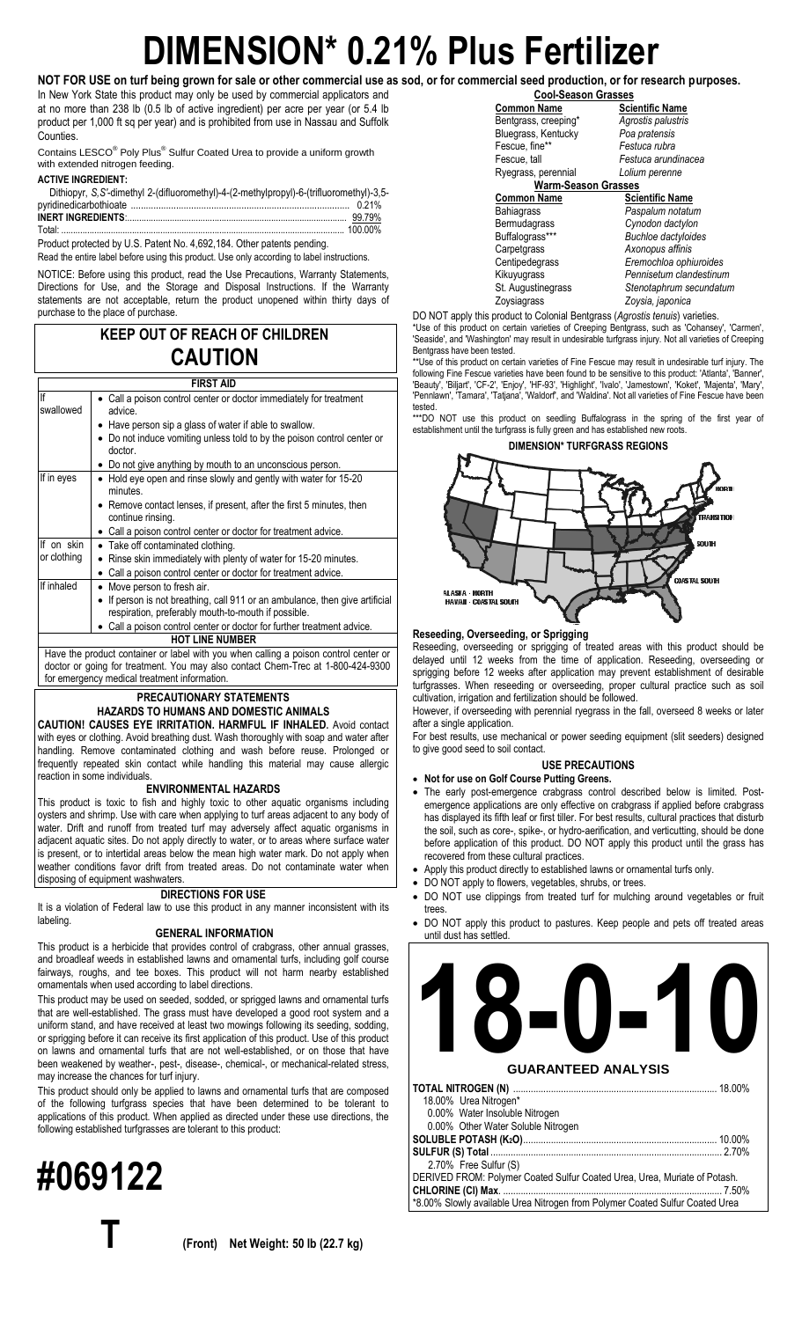# **DIMENSION\* 0.21% Plus Fertilizer**

**NOT FOR USE on turf being grown for sale or other commercial use as sod, or for commercial seed production, or for research purposes.** In New York State this product may only be used by commercial applicators and at no more than 238 lb (0.5 lb of active ingredient) per acre per year (or 5.4 lb product per 1,000 ft sq per year) and is prohibited from use in Nassau and Suffolk Counties.

Contains LESCO® Poly Plus® Sulfur Coated Urea to provide a uniform growth with extended nitrogen feeding.

## **ACTIVE INGREDIENT:**

| Dithiopyr, S, S'-dimethyl 2-(difluoromethyl)-4-(2-methylpropyl)-6-(trifluoromethyl)-3,5- |  |
|------------------------------------------------------------------------------------------|--|
|                                                                                          |  |
|                                                                                          |  |
|                                                                                          |  |

Product protected by U.S. Patent No. 4,692,184. Other patents pending.

Read the entire label before using this product. Use only according to label instructions.

NOTICE: Before using this product, read the Use Precautions, Warranty Statements, Directions for Use, and the Storage and Disposal Instructions. If the Warranty statements are not acceptable, return the product unopened within thirty days of purchase to the place of purchase.

# **KEEP OUT OF REACH OF CHILDREN CAUTION**

# **FIRST AID**

| FINJI AIU              |                                                                                                                                     |  |  |
|------------------------|-------------------------------------------------------------------------------------------------------------------------------------|--|--|
| lf<br>swallowed        | • Call a poison control center or doctor immediately for treatment<br>advice.                                                       |  |  |
|                        | Have person sip a glass of water if able to swallow.                                                                                |  |  |
|                        | • Do not induce vomiting unless told to by the poison control center or<br>doctor.                                                  |  |  |
|                        | • Do not give anything by mouth to an unconscious person.                                                                           |  |  |
| If in eyes             | • Hold eye open and rinse slowly and gently with water for 15-20<br>minutes                                                         |  |  |
|                        | • Remove contact lenses, if present, after the first 5 minutes, then<br>continue rinsing.                                           |  |  |
|                        | • Call a poison control center or doctor for treatment advice.                                                                      |  |  |
| If on skin             | • Take off contaminated clothing.                                                                                                   |  |  |
| or clothing            | • Rinse skin immediately with plenty of water for 15-20 minutes.                                                                    |  |  |
|                        | • Call a poison control center or doctor for treatment advice.                                                                      |  |  |
| If inhaled             | • Move person to fresh air.                                                                                                         |  |  |
|                        | • If person is not breathing, call 911 or an ambulance, then give artificial<br>respiration, preferably mouth-to-mouth if possible. |  |  |
|                        | • Call a poison control center or doctor for further treatment advice.                                                              |  |  |
| <b>HOT LINE NUMBER</b> |                                                                                                                                     |  |  |
|                        | Have the product container or label with you when calling a poison control center or                                                |  |  |
|                        | doctor or going for treatment. You may also contact Chem-Trec at 1-800-424-9300                                                     |  |  |
|                        | for emergency medical treatment information.                                                                                        |  |  |

## **PRECAUTIONARY STATEMENTS HAZARDS TO HUMANS AND DOMESTIC ANIMALS**

**CAUTION! CAUSES EYE IRRITATION. HARMFUL IF INHALED.** Avoid contact with eyes or clothing. Avoid breathing dust. Wash thoroughly with soap and water after handling. Remove contaminated clothing and wash before reuse. Prolonged or frequently repeated skin contact while handling this material may cause allergic reaction in some individuals.

# **ENVIRONMENTAL HAZARDS**

This product is toxic to fish and highly toxic to other aquatic organisms including oysters and shrimp. Use with care when applying to turf areas adjacent to any body of water. Drift and runoff from treated turf may adversely affect aquatic organisms in adjacent aquatic sites. Do not apply directly to water, or to areas where surface water is present, or to intertidal areas below the mean high water mark. Do not apply when weather conditions favor drift from treated areas. Do not contaminate water when disposing of equipment washwaters.

# **DIRECTIONS FOR USE**

It is a violation of Federal law to use this product in any manner inconsistent with its labeling.

#### **GENERAL INFORMATION**

This product is a herbicide that provides control of crabgrass, other annual grasses, and broadleaf weeds in established lawns and ornamental turfs, including golf course fairways, roughs, and tee boxes. This product will not harm nearby established ornamentals when used according to label directions.

This product may be used on seeded, sodded, or sprigged lawns and ornamental turfs that are well-established. The grass must have developed a good root system and a uniform stand, and have received at least two mowings following its seeding, sodding, or sprigging before it can receive its first application of this product. Use of this product on lawns and ornamental turfs that are not well-established, or on those that have been weakened by weather-, pest-, disease-, chemical-, or mechanical-related stress, may increase the chances for turf injury.

This product should only be applied to lawns and ornamental turfs that are composed of the following turfgrass species that have been determined to be tolerant to applications of this product. When applied as directed under these use directions, the following established turfgrasses are tolerant to this product:

**#069122**

**Cool-Season Grasses**<br>**Common Name** Scie Bentgrass, creeping\* *Agrostis palustris* Bluegrass, Kentucky<br>Fescue, fine\*\* Fescue, fine\*\* *Festuca rubra* Ryegrass, perennial *Lolium perenne* **Warm-Season Grasses Common Name**<br> **Bahiagrass Paspalum notatur** 

**Scientific Name** Festuca arundinacea<br>Lolium perenne

Bahiagrass *Paspalum notatum*<br>Bermudagrass *Cynodon dactylon*<br>Buffalograss\*\*\* *Buchloe dactyloide* Bermudagrass *Cynodon dactylon* Buffalograss\*\*\* *Buchloe dactyloides* Axonopus affinis Centipedegrass *Eremochloa ophiuroides* Kikuyugrass *Pennisetum clandestinum* St. Augustinegrass *Stenotaphrum secundatum* Zoysia, japonica

DO NOT apply this product to Colonial Bentgrass (*Agrostis tenuis*) varieties.

\*Use of this product on certain varieties of Creeping Bentgrass, such as 'Cohansey', 'Carmen', 'Seaside', and 'Washington' may result in undesirable turfgrass injury. Not all varieties of Creeping Bentgrass have been tested.

\*\*Use of this product on certain varieties of Fine Fescue may result in undesirable turf injury. The following Fine Fescue varieties have been found to be sensitive to this product: 'Atlanta', 'Banner', 'Beauty', 'Biljart', 'CF-2', 'Enjoy', 'HF-93', 'Highlight', 'Ivalo', 'Jamestown', 'Koket', 'Majenta', 'Mary', 'Pennlawn', 'Tamara', 'Tatjana', 'Waldorf', and 'Waldina'. Not all varieties of Fine Fescue have been tested.

\*\*\*DO NOT use this product on seedling Buffalograss in the spring of the first year of establishment until the turfgrass is fully green and has established new roots.



# **Reseeding, Overseeding, or Sprigging**

Reseeding, overseeding or sprigging of treated areas with this product should be delayed until 12 weeks from the time of application. Reseeding, overseeding or sprigging before 12 weeks after application may prevent establishment of desirable turfgrasses. When reseeding or overseeding, proper cultural practice such as soil cultivation, irrigation and fertilization should be followed.

However, if overseeding with perennial ryegrass in the fall, overseed 8 weeks or later after a single application.

For best results, use mechanical or power seeding equipment (slit seeders) designed to give good seed to soil contact.

# **USE PRECAUTIONS**

- **Not for use on Golf Course Putting Greens.** The early post-emergence crabgrass control described below is limited. Postemergence applications are only effective on crabgrass if applied before crabgrass has displayed its fifth leaf or first tiller. For best results, cultural practices that disturb the soil, such as core-, spike-, or hydro-aerification, and verticutting, should be done before application of this product. DO NOT apply this product until the grass has recovered from these cultural practices.
- Apply this product directly to established lawns or ornamental turfs only.
- DO NOT apply to flowers, vegetables, shrubs, or trees.
- DO NOT use clippings from treated turf for mulching around vegetables or fruit trees
- DO NOT apply this product to pastures. Keep people and pets off treated areas until dust has settled.